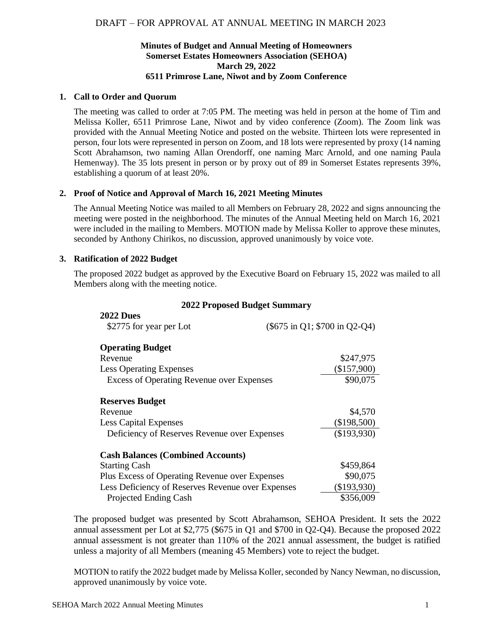# **Minutes of Budget and Annual Meeting of Homeowners Somerset Estates Homeowners Association (SEHOA) March 29, 2022 6511 Primrose Lane, Niwot and by Zoom Conference**

### **1. Call to Order and Quorum**

The meeting was called to order at 7:05 PM. The meeting was held in person at the home of Tim and Melissa Koller, 6511 Primrose Lane, Niwot and by video conference (Zoom). The Zoom link was provided with the Annual Meeting Notice and posted on the website. Thirteen lots were represented in person, four lots were represented in person on Zoom, and 18 lots were represented by proxy (14 naming Scott Abrahamson, two naming Allan Orendorff, one naming Marc Arnold, and one naming Paula Hemenway). The 35 lots present in person or by proxy out of 89 in Somerset Estates represents 39%, establishing a quorum of at least 20%.

## **2. Proof of Notice and Approval of March 16, 2021 Meeting Minutes**

The Annual Meeting Notice was mailed to all Members on February 28, 2022 and signs announcing the meeting were posted in the neighborhood. The minutes of the Annual Meeting held on March 16, 2021 were included in the mailing to Members. MOTION made by Melissa Koller to approve these minutes, seconded by Anthony Chirikos, no discussion, approved unanimously by voice vote.

#### **3. Ratification of 2022 Budget**

**2022 Dues**

The proposed 2022 budget as approved by the Executive Board on February 15, 2022 was mailed to all Members along with the meeting notice.

| <b>2022 Proposed Budget Summary</b> |  |  |
|-------------------------------------|--|--|
|-------------------------------------|--|--|

| ZUZZ DUES                                         |                               |
|---------------------------------------------------|-------------------------------|
| \$2775 for year per Lot                           | (\$675 in Q1; \$700 in Q2-Q4) |
| <b>Operating Budget</b>                           |                               |
| Revenue                                           | \$247,975                     |
| <b>Less Operating Expenses</b>                    | (\$157,900)                   |
| <b>Excess of Operating Revenue over Expenses</b>  | \$90,075                      |
| <b>Reserves Budget</b>                            |                               |
| Revenue                                           | \$4,570                       |
| <b>Less Capital Expenses</b>                      | $(\$198,500)$                 |
| Deficiency of Reserves Revenue over Expenses      | (\$193,930)                   |
| <b>Cash Balances (Combined Accounts)</b>          |                               |
| <b>Starting Cash</b>                              | \$459,864                     |
| Plus Excess of Operating Revenue over Expenses    | \$90,075                      |
| Less Deficiency of Reserves Revenue over Expenses | (\$193,930)                   |
| Projected Ending Cash                             | \$356,009                     |

The proposed budget was presented by Scott Abrahamson, SEHOA President. It sets the 2022 annual assessment per Lot at \$2,775 (\$675 in Q1 and \$700 in Q2-Q4). Because the proposed 2022 annual assessment is not greater than 110% of the 2021 annual assessment, the budget is ratified unless a majority of all Members (meaning 45 Members) vote to reject the budget.

MOTION to ratify the 2022 budget made by Melissa Koller, seconded by Nancy Newman, no discussion, approved unanimously by voice vote.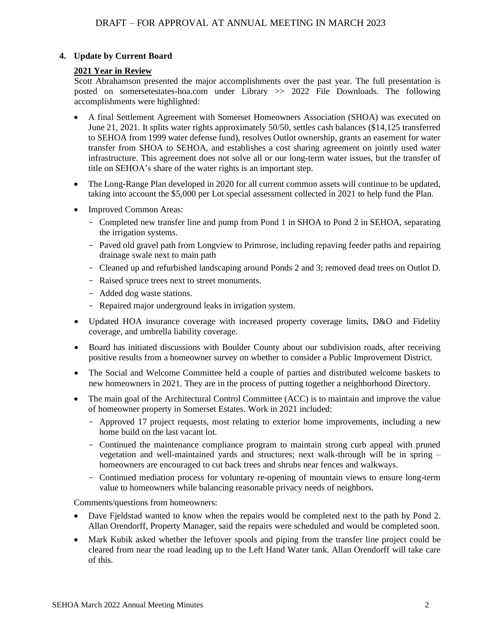# **4. Update by Current Board**

## **2021 Year in Review**

Scott Abrahamson presented the major accomplishments over the past year. The full presentation is posted on somersetestates-hoa.com under Library >> 2022 File Downloads. The following accomplishments were highlighted:

- A final Settlement Agreement with Somerset Homeowners Association (SHOA) was executed on June 21, 2021. It splits water rights approximately 50/50, settles cash balances (\$14,125 transferred to SEHOA from 1999 water defense fund), resolves Outlot ownership, grants an easement for water transfer from SHOA to SEHOA, and establishes a cost sharing agreement on jointly used water infrastructure. This agreement does not solve all or our long-term water issues, but the transfer of title on SEHOA's share of the water rights is an important step.
- The Long-Range Plan developed in 2020 for all current common assets will continue to be updated, taking into account the \$5,000 per Lot special assessment collected in 2021 to help fund the Plan.
- Improved Common Areas:
	- Completed new transfer line and pump from Pond 1 in SHOA to Pond 2 in SEHOA, separating the irrigation systems.
	- Paved old gravel path from Longview to Primrose, including repaving feeder paths and repairing drainage swale next to main path
	- Cleaned up and refurbished landscaping around Ponds 2 and 3; removed dead trees on Outlot D.
	- Raised spruce trees next to street monuments.
	- Added dog waste stations.
	- Repaired major underground leaks in irrigation system.
- Updated HOA insurance coverage with increased property coverage limits, D&O and Fidelity coverage, and umbrella liability coverage.
- Board has initiated discussions with Boulder County about our subdivision roads, after receiving positive results from a homeowner survey on whether to consider a Public Improvement District.
- The Social and Welcome Committee held a couple of parties and distributed welcome baskets to new homeowners in 2021. They are in the process of putting together a neighborhood Directory.
- The main goal of the Architectural Control Committee (ACC) is to maintain and improve the value of homeowner property in Somerset Estates. Work in 2021 included:
	- Approved 17 project requests, most relating to exterior home improvements, including a new home build on the last vacant lot.
	- Continued the maintenance compliance program to maintain strong curb appeal with pruned vegetation and well-maintained yards and structures; next walk-through will be in spring – homeowners are encouraged to cut back trees and shrubs near fences and walkways.
	- Continued mediation process for voluntary re-opening of mountain views to ensure long-term value to homeowners while balancing reasonable privacy needs of neighbors.

Comments/questions from homeowners:

- Dave Fjeldstad wanted to know when the repairs would be completed next to the path by Pond 2. Allan Orendorff, Property Manager, said the repairs were scheduled and would be completed soon.
- Mark Kubik asked whether the leftover spools and piping from the transfer line project could be cleared from near the road leading up to the Left Hand Water tank. Allan Orendorff will take care of this.